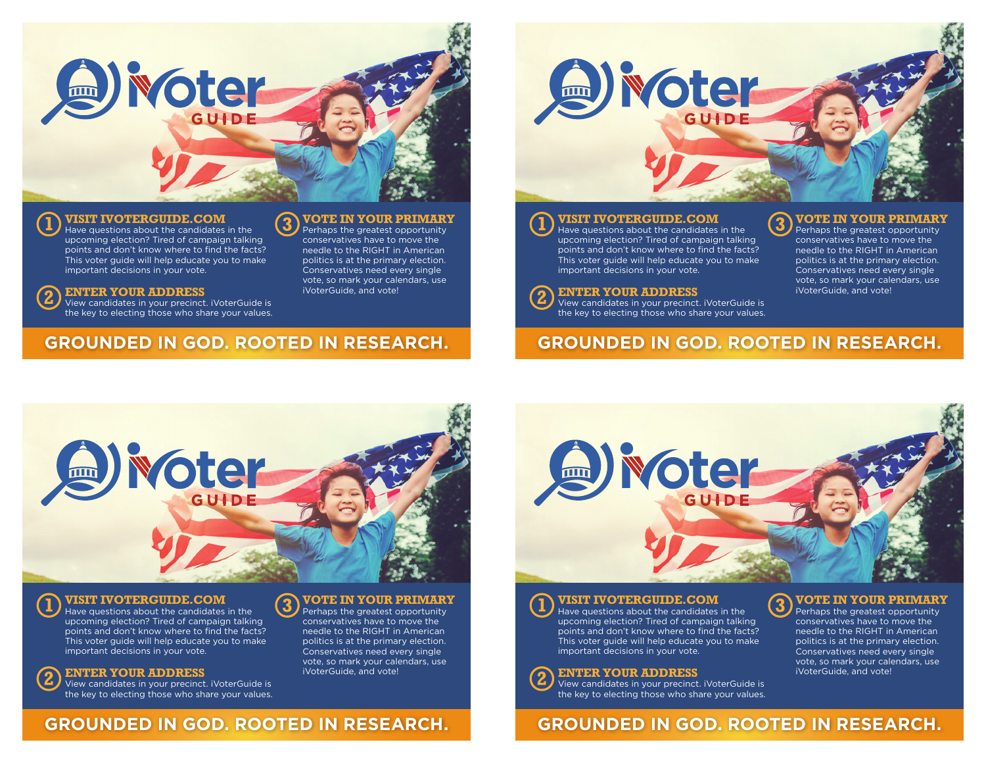

3

### **VISIT IVOTERGUIDE.COM**

Have questions about the candidates in the upcoming election? Tired of campaign talking points and don't know where to find the facts? This voter guide will help educate you to make important decisions in your vote.

#### **ENTER YOUR ADDRESS**  $\mathbf{2}$

 $\mathbf 2$ 

View candidates in your precinct. iVoterGuide is the key to electing those who share your values.

# **GROUNDED IN GOD. ROOTED IN RESEARCH.**

# *<u><b>* **oter**</u>

3

### **VISIT IVOTERGUIDE.COM**

Have questions about the candidates in the upcoming election? Tired of campaign talking points and don't know where to find the facts? This voter guide will help educate you to make important decisions in your vote.

### **ENTER YOUR ADDRESS**

View candidates in your precinct. iVoterGuide is the key to electing those who share your values.

# **GROUNDED IN GOD. ROOTED IN RESEARCH.**



## **VISIT IVOTERGUIDE.COM**

Have questions about the candidates in the upcoming election? Tired of campaign talking points and don't know where to find the facts? This voter guide will help educate you to make important decisions in your vote.

#### **VOTE IN YOUR PRIMARY**

**VOTE IN YOUR PRIMARY** Perhaps the greatest opportunity conservatives have to move the needle to the RIGHT in American politics is at the primary election. Conservatives need every single vote, so mark your calendars, use

iVoterGuide, and vote!

Perhaps the greatest opportunity conservatives have to move the needle to the RIGHT in American politics is at the primary election. Conservatives need every single vote, so mark your calendars, use iVoterGuide, and vote!



## **VISIT IVOTERGUIDE.COM**

Have questions about the candidates in the upcoming election? Tired of campaign talking points and don't know where to find the facts? This voter guide will help educate you to make important decisions in your vote.

#### **ENTER YOUR ADDRESS**

View candidates in your precinct. iVoterGuide is the key to electing those who share your values.

## **VOTE IN YOUR PRIMARY**

**VOTE IN YOUR PRIMARY** Perhaps the greatest opportunity conservatives have to move the needle to the RIGHT in American politics is at the primary election. Conservatives need every single vote, so mark your calendars, use

iVoterGuide, and vote!

Perhaps the greatest opportunity conservatives have to move the needle to the RIGHT in American politics is at the primary election. Conservatives need every single vote, so mark your calendars, use iVoterGuide, and vote!

#### **ENTER YOUR ADDRESS**

View candidates in your precinct. iVoterGuide is the key to electing those who share your values.

# **GROUNDED IN GOD. ROOTED IN RESEARCH.**

**GROUNDED IN GOD. ROOTED IN RESEARCH.**